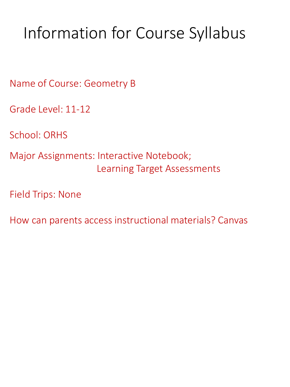# Information for Course Syllabus

Name of Course: Geometry B

Grade Level: 11-12

School: ORHS

Major Assignments: Interactive Notebook; Learning Target Assessments

Field Trips: None

How can parents access instructional materials? Canvas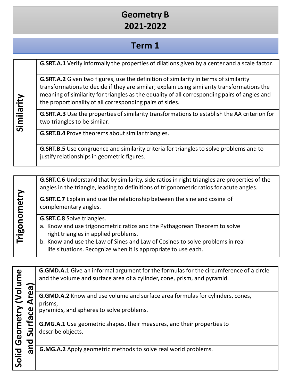#### **Geometry B 2021-2022**

#### **Term 1**

| Similarity | <b>G.SRT.A.1</b> Verify informally the properties of dilations given by a center and a scale factor.                                                                                                                                                                                                                                                   |
|------------|--------------------------------------------------------------------------------------------------------------------------------------------------------------------------------------------------------------------------------------------------------------------------------------------------------------------------------------------------------|
|            | <b>G.SRT.A.2</b> Given two figures, use the definition of similarity in terms of similarity<br>transformations to decide if they are similar; explain using similarity transformations the<br>meaning of similarity for triangles as the equality of all corresponding pairs of angles and<br>the proportionality of all corresponding pairs of sides. |
|            | <b>G.SRT.A.3</b> Use the properties of similarity transformations to establish the AA criterion for<br>two triangles to be similar.                                                                                                                                                                                                                    |
|            | <b>G.SRT.B.4</b> Prove theorems about similar triangles.                                                                                                                                                                                                                                                                                               |
|            | <b>G.SRT.B.5</b> Use congruence and similarity criteria for triangles to solve problems and to<br>justify relationships in geometric figures.                                                                                                                                                                                                          |

|              | <b>G.SRT.C.6</b> Understand that by similarity, side ratios in right triangles are properties of the<br>angles in the triangle, leading to definitions of trigonometric ratios for acute angles.                                                                                                          |
|--------------|-----------------------------------------------------------------------------------------------------------------------------------------------------------------------------------------------------------------------------------------------------------------------------------------------------------|
|              | G.SRT.C.7 Explain and use the relationship between the sine and cosine of<br>complementary angles.                                                                                                                                                                                                        |
| Trigonometry | <b>G.SRT.C.8</b> Solve triangles.<br>a. Know and use trigonometric ratios and the Pythagorean Theorem to solve<br>right triangles in applied problems.<br>b. Know and use the Law of Sines and Law of Cosines to solve problems in real<br>life situations. Recognize when it is appropriate to use each. |

**G.GMD.A.1** Give an informal argument for the formulas for the circumference of a circle **Solid Geometry (Volume**  Solid Geometry (Volume and the volume and surface area of a cylinder, cone, prism, and pyramid. **and Surface Area)** and Surface Area) **G.GMD.A.2** Know and use volume and surface area formulas for cylinders, cones, prisms, pyramids, and spheres to solve problems. **G.MG.A.1** Use geometric shapes, their measures, and their propertiesto describe objects. **G.MG.A.2** Apply geometric methods to solve real world problems.